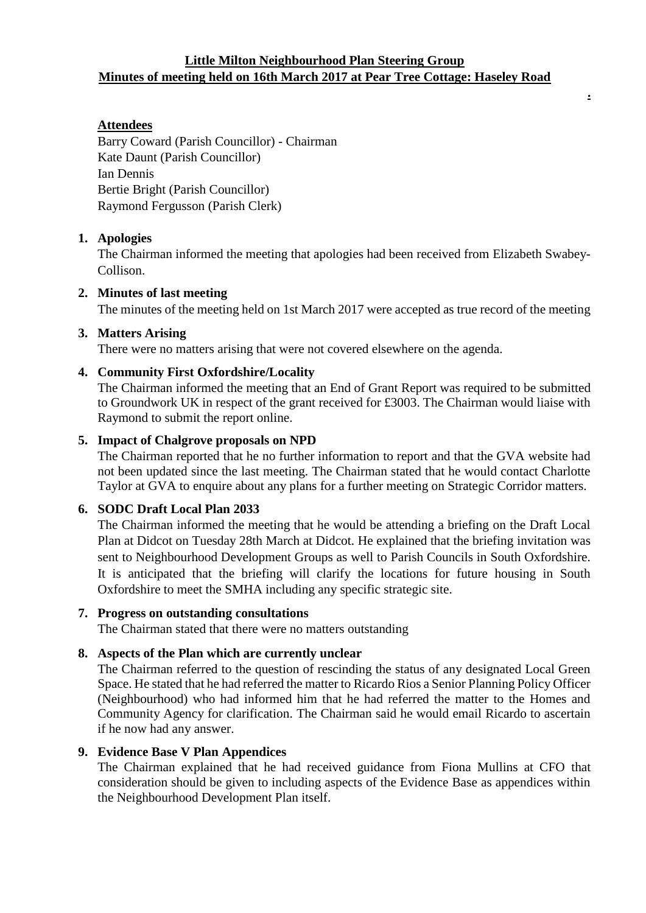# **Little Milton Neighbourhood Plan Steering Group Minutes of meeting held on 16th March 2017 at Pear Tree Cottage: Haseley Road**

**.**

# **Attendees**

Barry Coward (Parish Councillor) - Chairman Kate Daunt (Parish Councillor) Ian Dennis Bertie Bright (Parish Councillor) Raymond Fergusson (Parish Clerk)

#### **1. Apologies**

The Chairman informed the meeting that apologies had been received from Elizabeth Swabey-Collison.

#### **2. Minutes of last meeting**

The minutes of the meeting held on 1st March 2017 were accepted as true record of the meeting

# **3. Matters Arising**

There were no matters arising that were not covered elsewhere on the agenda.

# **4. Community First Oxfordshire/Locality**

The Chairman informed the meeting that an End of Grant Report was required to be submitted to Groundwork UK in respect of the grant received for £3003. The Chairman would liaise with Raymond to submit the report online.

# **5. Impact of Chalgrove proposals on NPD**

The Chairman reported that he no further information to report and that the GVA website had not been updated since the last meeting. The Chairman stated that he would contact Charlotte Taylor at GVA to enquire about any plans for a further meeting on Strategic Corridor matters.

# **6. SODC Draft Local Plan 2033**

The Chairman informed the meeting that he would be attending a briefing on the Draft Local Plan at Didcot on Tuesday 28th March at Didcot. He explained that the briefing invitation was sent to Neighbourhood Development Groups as well to Parish Councils in South Oxfordshire. It is anticipated that the briefing will clarify the locations for future housing in South Oxfordshire to meet the SMHA including any specific strategic site.

#### **7. Progress on outstanding consultations**

The Chairman stated that there were no matters outstanding

#### **8. Aspects of the Plan which are currently unclear**

The Chairman referred to the question of rescinding the status of any designated Local Green Space. He stated that he had referred the matter to Ricardo Rios a Senior Planning Policy Officer (Neighbourhood) who had informed him that he had referred the matter to the Homes and Community Agency for clarification. The Chairman said he would email Ricardo to ascertain if he now had any answer.

#### **9. Evidence Base V Plan Appendices**

The Chairman explained that he had received guidance from Fiona Mullins at CFO that consideration should be given to including aspects of the Evidence Base as appendices within the Neighbourhood Development Plan itself.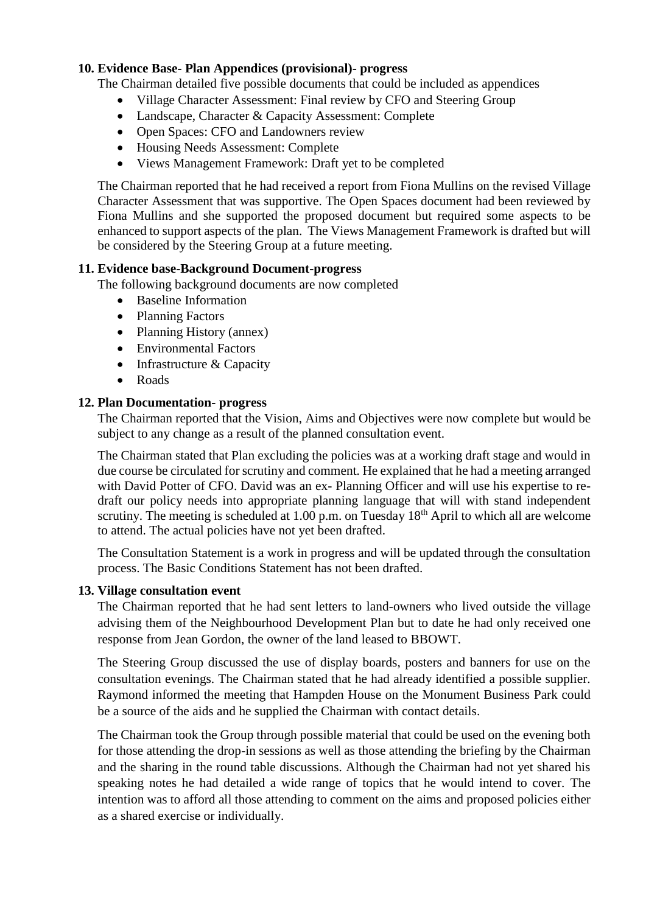# **10. Evidence Base- Plan Appendices (provisional)- progress**

The Chairman detailed five possible documents that could be included as appendices

- Village Character Assessment: Final review by CFO and Steering Group
- Landscape, Character & Capacity Assessment: Complete
- Open Spaces: CFO and Landowners review
- Housing Needs Assessment: Complete
- Views Management Framework: Draft yet to be completed

The Chairman reported that he had received a report from Fiona Mullins on the revised Village Character Assessment that was supportive. The Open Spaces document had been reviewed by Fiona Mullins and she supported the proposed document but required some aspects to be enhanced to support aspects of the plan. The Views Management Framework is drafted but will be considered by the Steering Group at a future meeting.

# **11. Evidence base-Background Document-progress**

The following background documents are now completed

- Baseline Information
- Planning Factors
- Planning History (annex)
- Environmental Factors
- Infrastructure & Capacity
- Roads

# **12. Plan Documentation- progress**

The Chairman reported that the Vision, Aims and Objectives were now complete but would be subject to any change as a result of the planned consultation event.

The Chairman stated that Plan excluding the policies was at a working draft stage and would in due course be circulated for scrutiny and comment. He explained that he had a meeting arranged with David Potter of CFO. David was an ex- Planning Officer and will use his expertise to redraft our policy needs into appropriate planning language that will with stand independent scrutiny. The meeting is scheduled at  $1.00$  p.m. on Tuesday  $18<sup>th</sup>$  April to which all are welcome to attend. The actual policies have not yet been drafted.

The Consultation Statement is a work in progress and will be updated through the consultation process. The Basic Conditions Statement has not been drafted.

#### **13. Village consultation event**

The Chairman reported that he had sent letters to land-owners who lived outside the village advising them of the Neighbourhood Development Plan but to date he had only received one response from Jean Gordon, the owner of the land leased to BBOWT.

The Steering Group discussed the use of display boards, posters and banners for use on the consultation evenings. The Chairman stated that he had already identified a possible supplier. Raymond informed the meeting that Hampden House on the Monument Business Park could be a source of the aids and he supplied the Chairman with contact details.

The Chairman took the Group through possible material that could be used on the evening both for those attending the drop-in sessions as well as those attending the briefing by the Chairman and the sharing in the round table discussions. Although the Chairman had not yet shared his speaking notes he had detailed a wide range of topics that he would intend to cover. The intention was to afford all those attending to comment on the aims and proposed policies either as a shared exercise or individually.